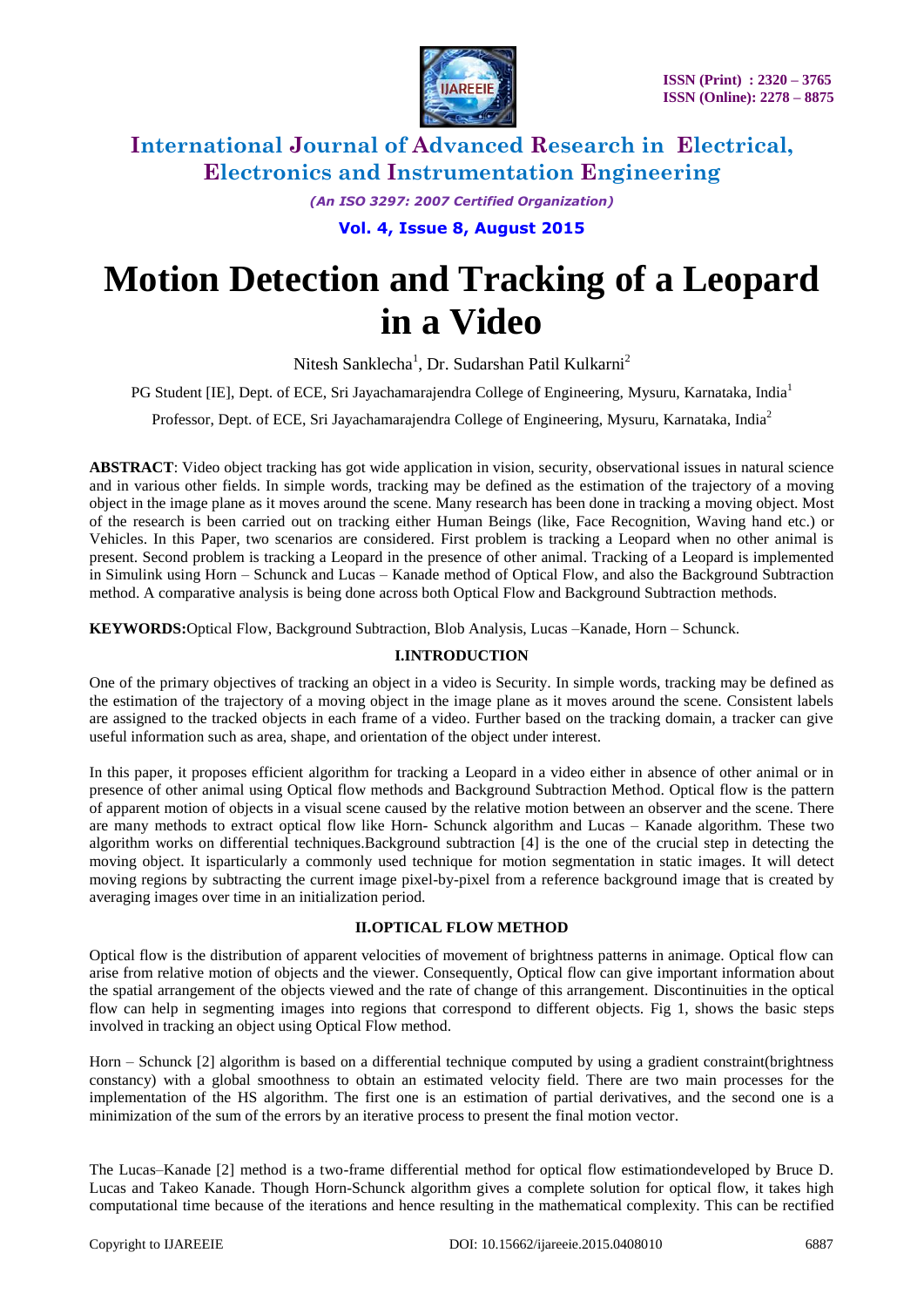

*(An ISO 3297: 2007 Certified Organization)*

**Vol. 4, Issue 8, August 2015**

# **Motion Detection and Tracking of a Leopard in a Video**

Nitesh Sanklecha<sup>1</sup>, Dr. Sudarshan Patil Kulkarni<sup>2</sup>

PG Student [IE], Dept. of ECE, Sri Jayachamarajendra College of Engineering, Mysuru, Karnataka, India<sup>1</sup>

Professor, Dept. of ECE, Sri Jayachamarajendra College of Engineering, Mysuru, Karnataka, India<sup>2</sup>

**ABSTRACT**: Video object tracking has got wide application in vision, security, observational issues in natural science and in various other fields. In simple words, tracking may be defined as the estimation of the trajectory of a moving object in the image plane as it moves around the scene. Many research has been done in tracking a moving object. Most of the research is been carried out on tracking either Human Beings (like, Face Recognition, Waving hand etc.) or Vehicles. In this Paper, two scenarios are considered. First problem is tracking a Leopard when no other animal is present. Second problem is tracking a Leopard in the presence of other animal. Tracking of a Leopard is implemented in Simulink using Horn – Schunck and Lucas – Kanade method of Optical Flow, and also the Background Subtraction method. A comparative analysis is being done across both Optical Flow and Background Subtraction methods.

**KEYWORDS:**Optical Flow, Background Subtraction, Blob Analysis, Lucas –Kanade, Horn – Schunck.

### **I.INTRODUCTION**

One of the primary objectives of tracking an object in a video is Security. In simple words, tracking may be defined as the estimation of the trajectory of a moving object in the image plane as it moves around the scene. Consistent labels are assigned to the tracked objects in each frame of a video. Further based on the tracking domain, a tracker can give useful information such as area, shape, and orientation of the object under interest.

In this paper, it proposes efficient algorithm for tracking a Leopard in a video either in absence of other animal or in presence of other animal using Optical flow methods and Background Subtraction Method. Optical flow is the pattern of apparent motion of objects in a visual scene caused by the relative motion between an observer and the scene. There are many methods to extract optical flow like Horn- Schunck algorithm and Lucas – Kanade algorithm. These two algorithm works on differential techniques.Background subtraction [4] is the one of the crucial step in detecting the moving object. It isparticularly a commonly used technique for motion segmentation in static images. It will detect moving regions by subtracting the current image pixel-by-pixel from a reference background image that is created by averaging images over time in an initialization period.

#### **II.OPTICAL FLOW METHOD**

Optical flow is the distribution of apparent velocities of movement of brightness patterns in animage. Optical flow can arise from relative motion of objects and the viewer. Consequently, Optical flow can give important information about the spatial arrangement of the objects viewed and the rate of change of this arrangement. Discontinuities in the optical flow can help in segmenting images into regions that correspond to different objects. Fig 1, shows the basic steps involved in tracking an object using Optical Flow method.

Horn – Schunck [2] algorithm is based on a differential technique computed by using a gradient constraint(brightness constancy) with a global smoothness to obtain an estimated velocity field. There are two main processes for the implementation of the HS algorithm. The first one is an estimation of partial derivatives, and the second one is a minimization of the sum of the errors by an iterative process to present the final motion vector.

The Lucas–Kanade [2] method is a two-frame differential method for optical flow estimationdeveloped by Bruce D. Lucas and Takeo Kanade. Though Horn-Schunck algorithm gives a complete solution for optical flow, it takes high computational time because of the iterations and hence resulting in the mathematical complexity. This can be rectified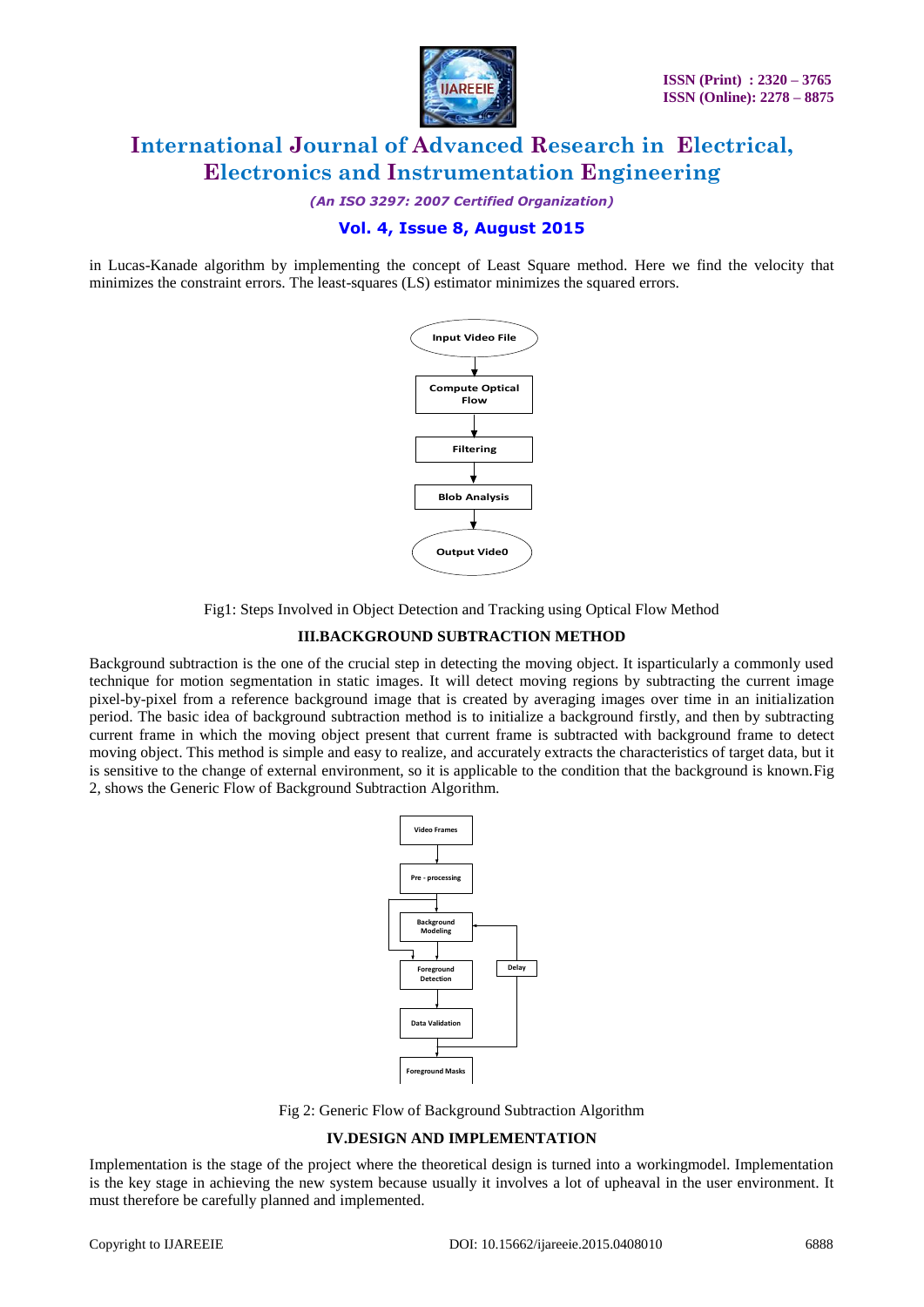

*(An ISO 3297: 2007 Certified Organization)*

### **Vol. 4, Issue 8, August 2015**

in Lucas-Kanade algorithm by implementing the concept of Least Square method. Here we find the velocity that minimizes the constraint errors. The least-squares (LS) estimator minimizes the squared errors.



Fig1: Steps Involved in Object Detection and Tracking using Optical Flow Method

#### **III.BACKGROUND SUBTRACTION METHOD**

Background subtraction is the one of the crucial step in detecting the moving object. It isparticularly a commonly used technique for motion segmentation in static images. It will detect moving regions by subtracting the current image pixel-by-pixel from a reference background image that is created by averaging images over time in an initialization period. The basic idea of background subtraction method is to initialize a background firstly, and then by subtracting current frame in which the moving object present that current frame is subtracted with background frame to detect moving object. This method is simple and easy to realize, and accurately extracts the characteristics of target data, but it is sensitive to the change of external environment, so it is applicable to the condition that the background is known.Fig 2, shows the Generic Flow of Background Subtraction Algorithm.



Fig 2: Generic Flow of Background Subtraction Algorithm

#### **IV.DESIGN AND IMPLEMENTATION**

Implementation is the stage of the project where the theoretical design is turned into a workingmodel. Implementation is the key stage in achieving the new system because usually it involves a lot of upheaval in the user environment. It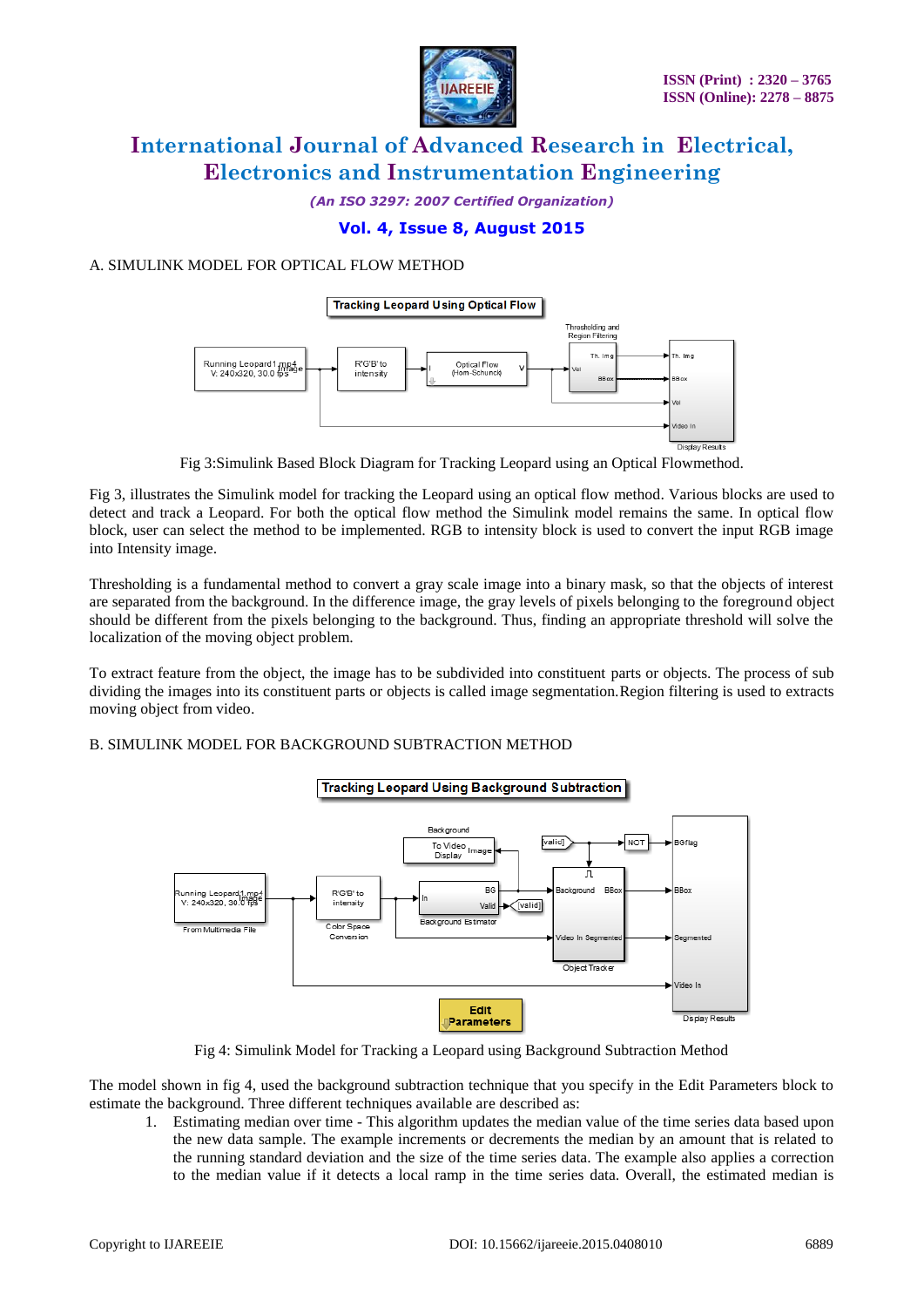

*(An ISO 3297: 2007 Certified Organization)*

### **Vol. 4, Issue 8, August 2015**

### A. SIMULINK MODEL FOR OPTICAL FLOW METHOD



Fig 3:Simulink Based Block Diagram for Tracking Leopard using an Optical Flowmethod.

Fig 3, illustrates the Simulink model for tracking the Leopard using an optical flow method. Various blocks are used to detect and track a Leopard. For both the optical flow method the Simulink model remains the same. In optical flow block, user can select the method to be implemented. RGB to intensity block is used to convert the input RGB image into Intensity image.

Thresholding is a fundamental method to convert a gray scale image into a binary mask, so that the objects of interest are separated from the background. In the difference image, the gray levels of pixels belonging to the foreground object should be different from the pixels belonging to the background. Thus, finding an appropriate threshold will solve the localization of the moving object problem.

To extract feature from the object, the image has to be subdivided into constituent parts or objects. The process of sub dividing the images into its constituent parts or objects is called image segmentation.Region filtering is used to extracts moving object from video.

#### B. SIMULINK MODEL FOR BACKGROUND SUBTRACTION METHOD



Fig 4: Simulink Model for Tracking a Leopard using Background Subtraction Method

The model shown in fig 4, used the background subtraction technique that you specify in the Edit Parameters block to estimate the background. Three different techniques available are described as:

1. Estimating median over time - This algorithm updates the median value of the time series data based upon the new data sample. The example increments or decrements the median by an amount that is related to the running standard deviation and the size of the time series data. The example also applies a correction to the median value if it detects a local ramp in the time series data. Overall, the estimated median is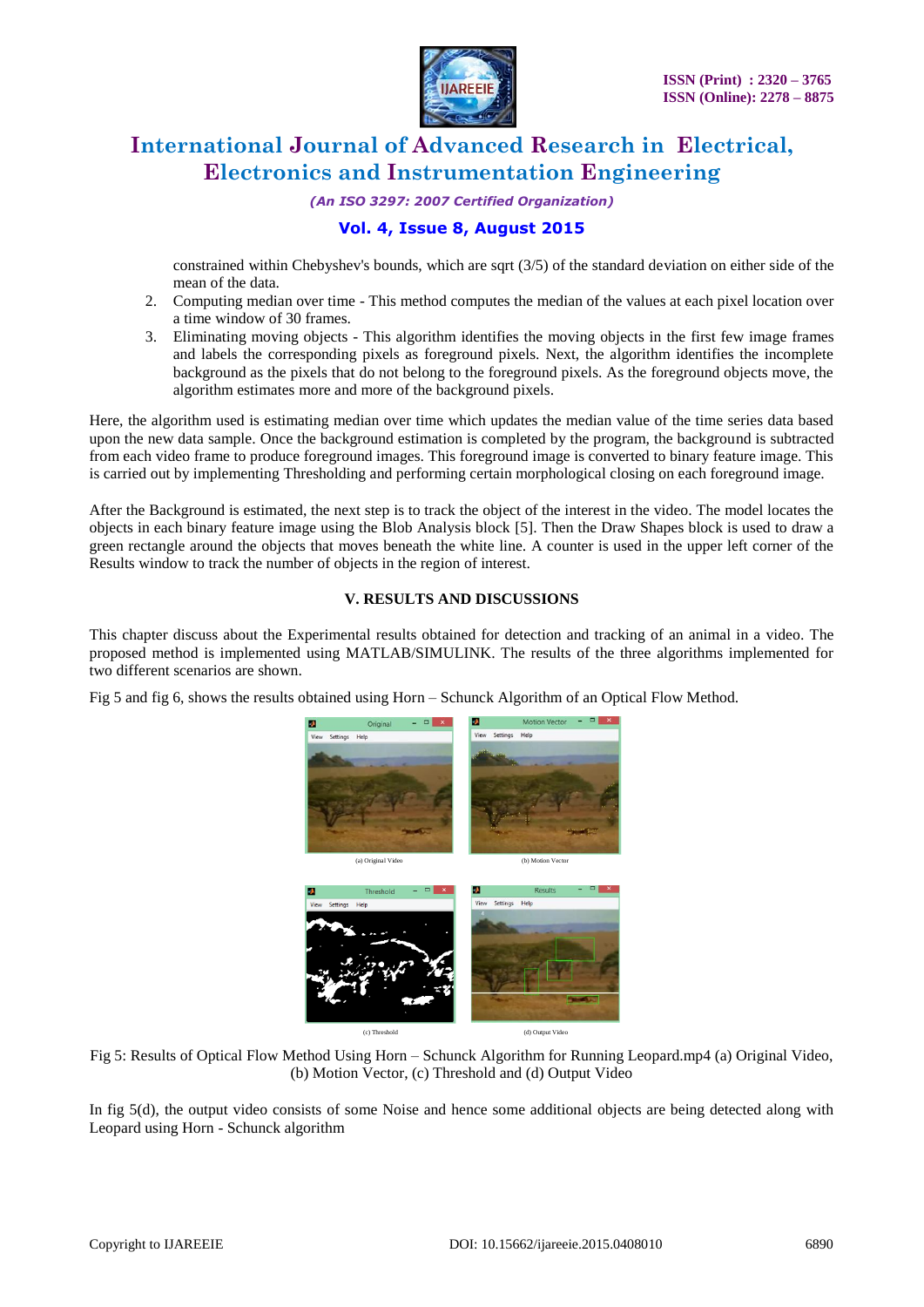

*(An ISO 3297: 2007 Certified Organization)*

### **Vol. 4, Issue 8, August 2015**

constrained within Chebyshev's bounds, which are sqrt (3/5) of the standard deviation on either side of the mean of the data.

- 2. Computing median over time This method computes the median of the values at each pixel location over a time window of 30 frames.
- 3. Eliminating moving objects This algorithm identifies the moving objects in the first few image frames and labels the corresponding pixels as foreground pixels. Next, the algorithm identifies the incomplete background as the pixels that do not belong to the foreground pixels. As the foreground objects move, the algorithm estimates more and more of the background pixels.

Here, the algorithm used is estimating median over time which updates the median value of the time series data based upon the new data sample. Once the background estimation is completed by the program, the background is subtracted from each video frame to produce foreground images. This foreground image is converted to binary feature image. This is carried out by implementing Thresholding and performing certain morphological closing on each foreground image.

After the Background is estimated, the next step is to track the object of the interest in the video. The model locates the objects in each binary feature image using the Blob Analysis block [5]. Then the Draw Shapes block is used to draw a green rectangle around the objects that moves beneath the white line. A counter is used in the upper left corner of the Results window to track the number of objects in the region of interest.

#### **V. RESULTS AND DISCUSSIONS**

This chapter discuss about the Experimental results obtained for detection and tracking of an animal in a video. The proposed method is implemented using MATLAB/SIMULINK. The results of the three algorithms implemented for two different scenarios are shown.

Fig 5 and fig 6, shows the results obtained using Horn – Schunck Algorithm of an Optical Flow Method.



Fig 5: Results of Optical Flow Method Using Horn – Schunck Algorithm for Running Leopard.mp4 (a) Original Video, (b) Motion Vector, (c) Threshold and (d) Output Video

In fig 5(d), the output video consists of some Noise and hence some additional objects are being detected along with Leopard using Horn - Schunck algorithm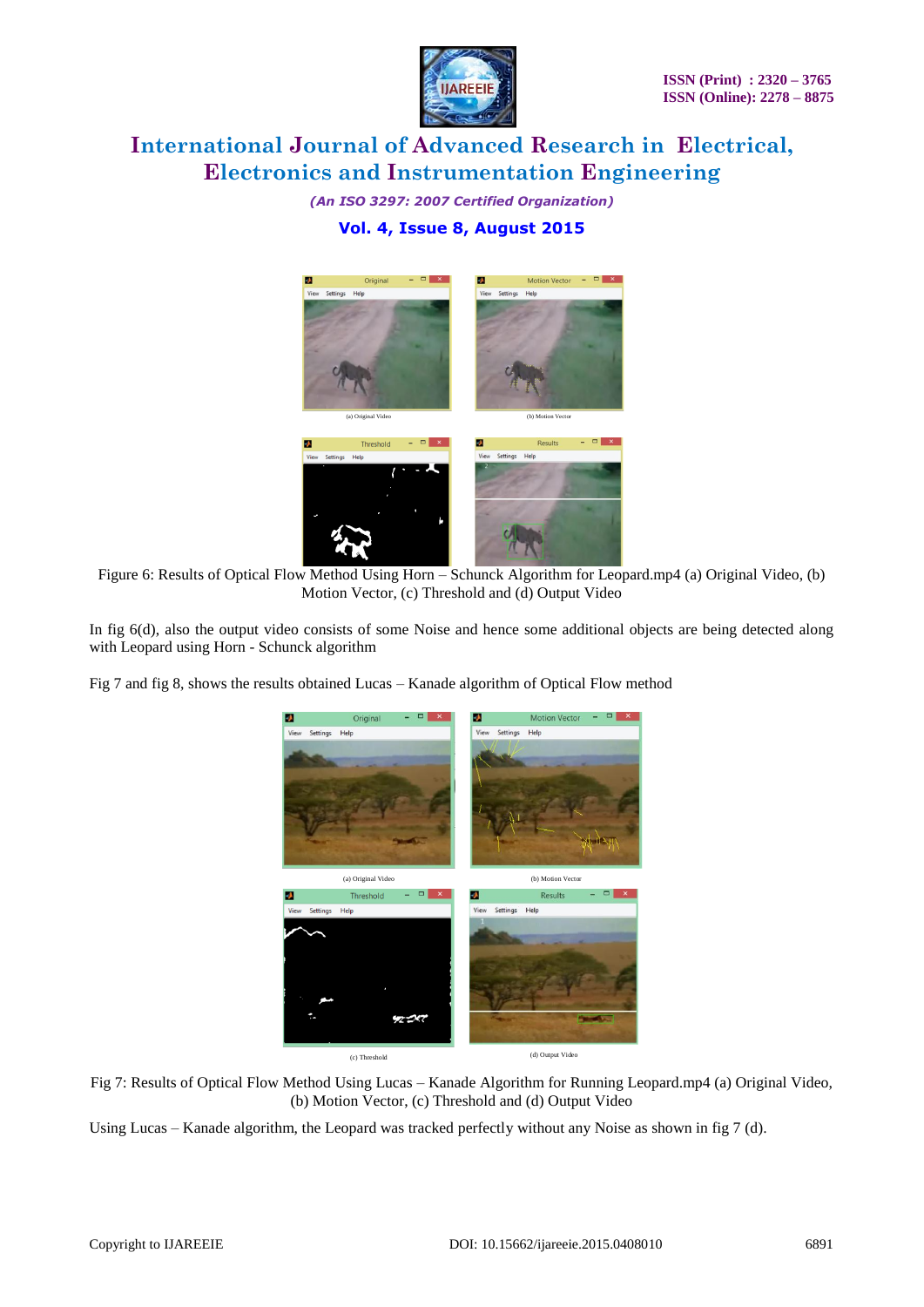

*(An ISO 3297: 2007 Certified Organization)* **Vol. 4, Issue 8, August 2015**



Figure 6: Results of Optical Flow Method Using Horn - Schunck Algorithm for Leopard.mp4 (a) Original Video, (b) Motion Vector, (c) Threshold and (d) Output Video

In fig 6(d), also the output video consists of some Noise and hence some additional objects are being detected along with Leopard using Horn - Schunck algorithm

Fig 7 and fig 8, shows the results obtained Lucas – Kanade algorithm of Optical Flow method





Using Lucas – Kanade algorithm, the Leopard was tracked perfectly without any Noise as shown in fig 7 (d).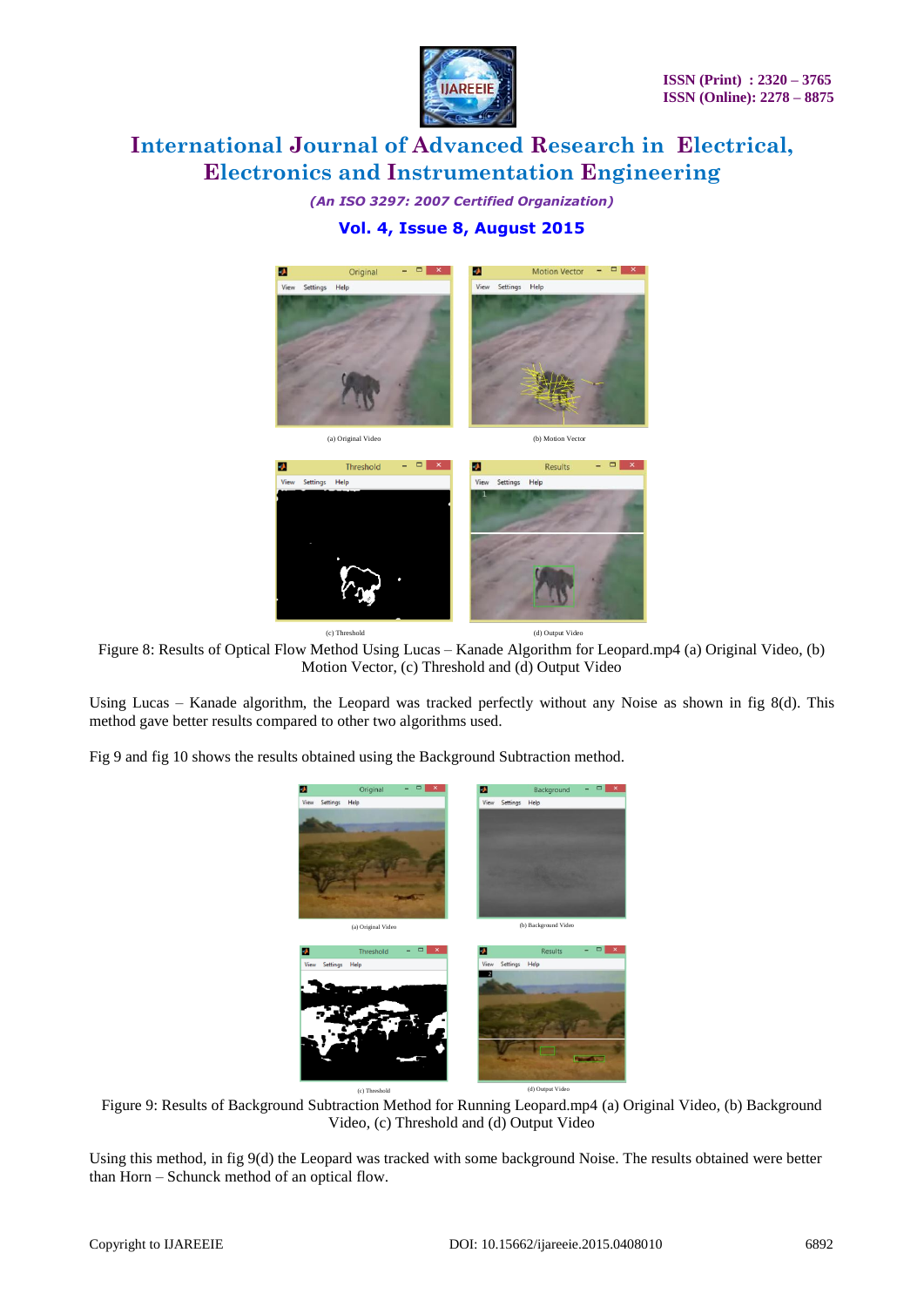

*(An ISO 3297: 2007 Certified Organization)* **Vol. 4, Issue 8, August 2015**



Figure 8: Results of Optical Flow Method Using Lucas – Kanade Algorithm for Leopard.mp4 (a) Original Video, (b) Motion Vector, (c) Threshold and (d) Output Video

Using Lucas – Kanade algorithm, the Leopard was tracked perfectly without any Noise as shown in fig 8(d). This method gave better results compared to other two algorithms used.

Fig 9 and fig 10 shows the results obtained using the Background Subtraction method.



Figure 9: Results of Background Subtraction Method for Running Leopard.mp4 (a) Original Video, (b) Background Video, (c) Threshold and (d) Output Video

Using this method, in fig 9(d) the Leopard was tracked with some background Noise. The results obtained were better than Horn – Schunck method of an optical flow.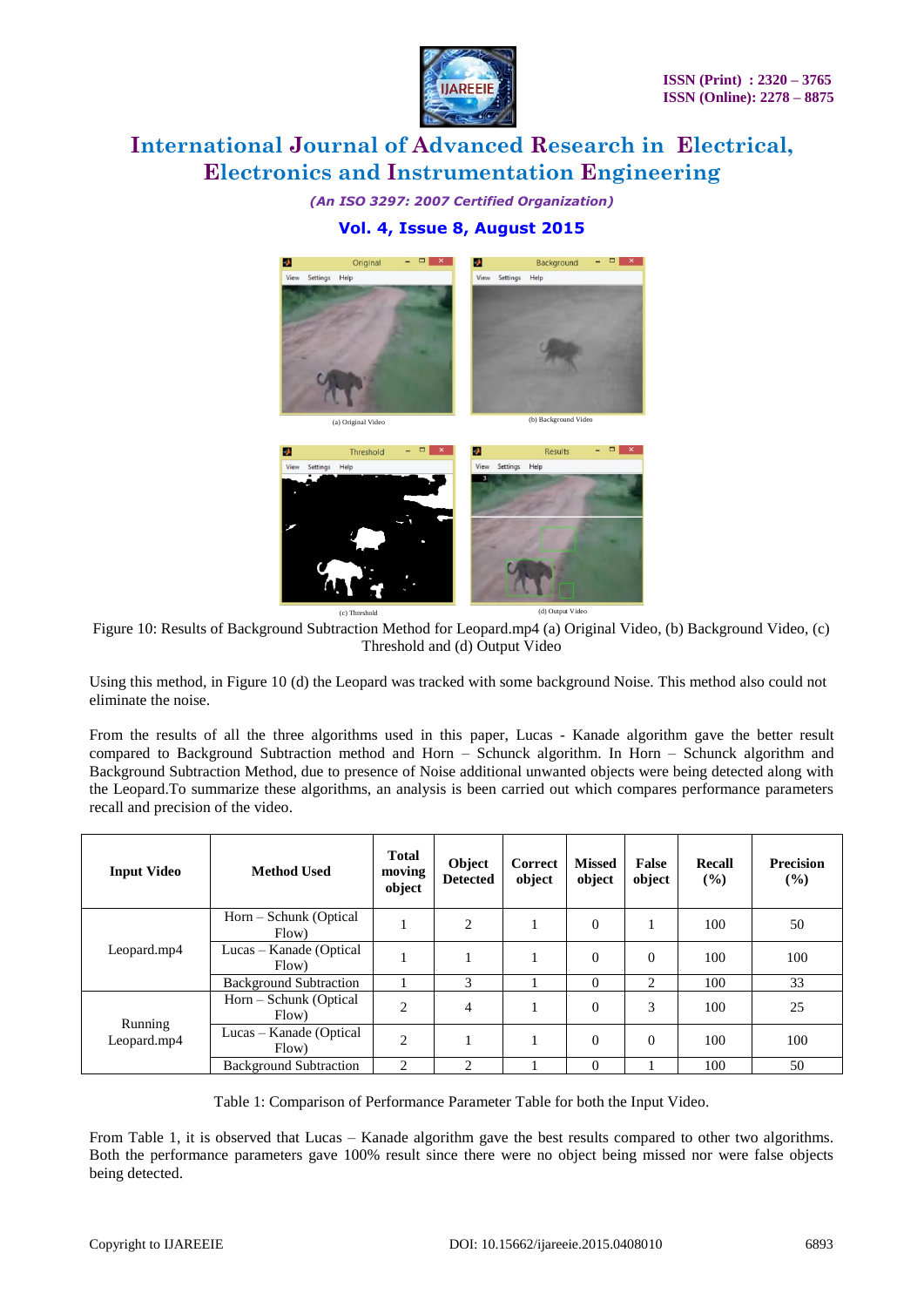

*(An ISO 3297: 2007 Certified Organization)*

### **Vol. 4, Issue 8, August 2015**



Figure 10: Results of Background Subtraction Method for Leopard.mp4 (a) Original Video, (b) Background Video, (c) Threshold and (d) Output Video

Using this method, in Figure 10 (d) the Leopard was tracked with some background Noise. This method also could not eliminate the noise.

From the results of all the three algorithms used in this paper, Lucas - Kanade algorithm gave the better result compared to Background Subtraction method and Horn – Schunck algorithm. In Horn – Schunck algorithm and Background Subtraction Method, due to presence of Noise additional unwanted objects were being detected along with the Leopard.To summarize these algorithms, an analysis is been carried out which compares performance parameters recall and precision of the video.

| <b>Input Video</b>     | <b>Method Used</b>               | <b>Total</b><br>moving<br>object | Object<br><b>Detected</b> | <b>Correct</b><br>object | <b>Missed</b><br>object | False<br>object | <b>Recall</b><br>$($ %) | <b>Precision</b><br>(%) |
|------------------------|----------------------------------|----------------------------------|---------------------------|--------------------------|-------------------------|-----------------|-------------------------|-------------------------|
| Leopard.mp4            | Horn – Schunk (Optical<br>Flow)  |                                  | $\overline{c}$            |                          | $\overline{0}$          |                 | 100                     | 50                      |
|                        | Lucas – Kanade (Optical<br>Flow) |                                  |                           |                          | $\Omega$                | $\Omega$        | 100                     | 100                     |
|                        | <b>Background Subtraction</b>    |                                  | 3                         |                          | $\Omega$                | 2               | 100                     | 33                      |
| Running<br>Leopard.mp4 | Horn – Schunk (Optical<br>Flow)  | $\overline{2}$                   | $\overline{4}$            |                          | $\Omega$                | 3               | 100                     | 25                      |
|                        | Lucas – Kanade (Optical<br>Flow) | $\overline{2}$                   |                           |                          | $\Omega$                | $\Omega$        | 100                     | 100                     |
|                        | <b>Background Subtraction</b>    | $\mathfrak{D}$                   | $\mathfrak{D}$            |                          | $\Omega$                |                 | 100                     | 50                      |

Table 1: Comparison of Performance Parameter Table for both the Input Video.

From Table 1, it is observed that Lucas – Kanade algorithm gave the best results compared to other two algorithms. Both the performance parameters gave 100% result since there were no object being missed nor were false objects being detected.